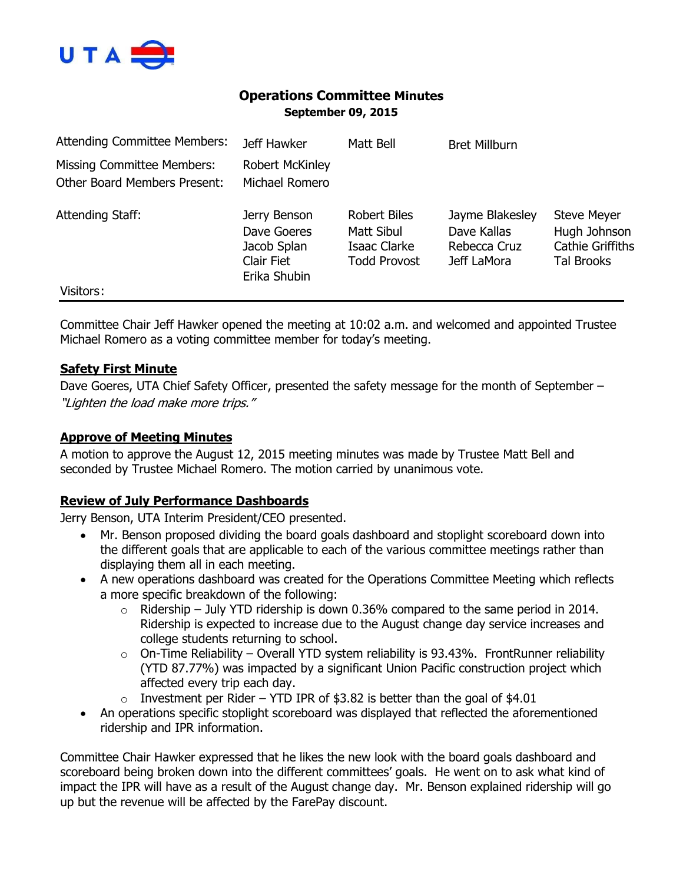

# **Operations Committee Minutes September 09, 2015**

| <b>Attending Committee Members:</b>                                      | Jeff Hawker                                                                     | Matt Bell                                                                | <b>Bret Millburn</b>                                          |                                                                                    |
|--------------------------------------------------------------------------|---------------------------------------------------------------------------------|--------------------------------------------------------------------------|---------------------------------------------------------------|------------------------------------------------------------------------------------|
| <b>Missing Committee Members:</b><br><b>Other Board Members Present:</b> | <b>Robert McKinley</b><br>Michael Romero                                        |                                                                          |                                                               |                                                                                    |
| Attending Staff:                                                         | Jerry Benson<br>Dave Goeres<br>Jacob Splan<br><b>Clair Fiet</b><br>Erika Shubin | <b>Robert Biles</b><br>Matt Sibul<br>Isaac Clarke<br><b>Todd Provost</b> | Jayme Blakesley<br>Dave Kallas<br>Rebecca Cruz<br>Jeff LaMora | <b>Steve Meyer</b><br>Hugh Johnson<br><b>Cathie Griffiths</b><br><b>Tal Brooks</b> |
| Visitors:                                                                |                                                                                 |                                                                          |                                                               |                                                                                    |

Committee Chair Jeff Hawker opened the meeting at 10:02 a.m. and welcomed and appointed Trustee Michael Romero as a voting committee member for today's meeting.

### **Safety First Minute**

Dave Goeres, UTA Chief Safety Officer, presented the safety message for the month of September – "Lighten the load make more trips."

### **Approve of Meeting Minutes**

A motion to approve the August 12, 2015 meeting minutes was made by Trustee Matt Bell and seconded by Trustee Michael Romero. The motion carried by unanimous vote.

## **Review of July Performance Dashboards**

Jerry Benson, UTA Interim President/CEO presented.

- Mr. Benson proposed dividing the board goals dashboard and stoplight scoreboard down into the different goals that are applicable to each of the various committee meetings rather than displaying them all in each meeting.
- A new operations dashboard was created for the Operations Committee Meeting which reflects a more specific breakdown of the following:
	- $\circ$  Ridership July YTD ridership is down 0.36% compared to the same period in 2014. Ridership is expected to increase due to the August change day service increases and college students returning to school.
	- $\circ$  On-Time Reliability Overall YTD system reliability is 93.43%. FrontRunner reliability (YTD 87.77%) was impacted by a significant Union Pacific construction project which affected every trip each day.
	- $\circ$  Investment per Rider YTD IPR of \$3.82 is better than the goal of \$4.01
- An operations specific stoplight scoreboard was displayed that reflected the aforementioned ridership and IPR information.

Committee Chair Hawker expressed that he likes the new look with the board goals dashboard and scoreboard being broken down into the different committees' goals. He went on to ask what kind of impact the IPR will have as a result of the August change day. Mr. Benson explained ridership will go up but the revenue will be affected by the FarePay discount.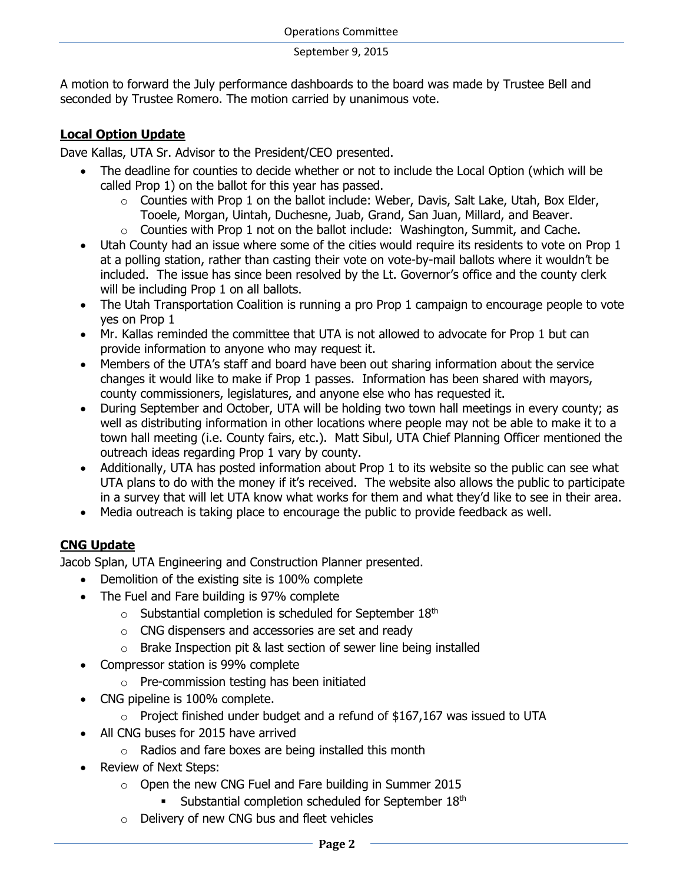A motion to forward the July performance dashboards to the board was made by Trustee Bell and seconded by Trustee Romero. The motion carried by unanimous vote.

## **Local Option Update**

Dave Kallas, UTA Sr. Advisor to the President/CEO presented.

- The deadline for counties to decide whether or not to include the Local Option (which will be called Prop 1) on the ballot for this year has passed.
	- o Counties with Prop 1 on the ballot include: Weber, Davis, Salt Lake, Utah, Box Elder, Tooele, Morgan, Uintah, Duchesne, Juab, Grand, San Juan, Millard, and Beaver.
	- $\circ$  Counties with Prop 1 not on the ballot include: Washington, Summit, and Cache.
- Utah County had an issue where some of the cities would require its residents to vote on Prop 1 at a polling station, rather than casting their vote on vote-by-mail ballots where it wouldn't be included. The issue has since been resolved by the Lt. Governor's office and the county clerk will be including Prop 1 on all ballots.
- The Utah Transportation Coalition is running a pro Prop 1 campaign to encourage people to vote yes on Prop 1
- Mr. Kallas reminded the committee that UTA is not allowed to advocate for Prop 1 but can provide information to anyone who may request it.
- Members of the UTA's staff and board have been out sharing information about the service changes it would like to make if Prop 1 passes. Information has been shared with mayors, county commissioners, legislatures, and anyone else who has requested it.
- During September and October, UTA will be holding two town hall meetings in every county; as well as distributing information in other locations where people may not be able to make it to a town hall meeting (i.e. County fairs, etc.). Matt Sibul, UTA Chief Planning Officer mentioned the outreach ideas regarding Prop 1 vary by county.
- Additionally, UTA has posted information about Prop 1 to its website so the public can see what UTA plans to do with the money if it's received. The website also allows the public to participate in a survey that will let UTA know what works for them and what they'd like to see in their area.
- Media outreach is taking place to encourage the public to provide feedback as well.

# **CNG Update**

Jacob Splan, UTA Engineering and Construction Planner presented.

- Demolition of the existing site is 100% complete
- The Fuel and Fare building is 97% complete
	- $\circ$  Substantial completion is scheduled for September 18<sup>th</sup>
	- o CNG dispensers and accessories are set and ready
	- o Brake Inspection pit & last section of sewer line being installed
- Compressor station is 99% complete
	- o Pre-commission testing has been initiated
- CNG pipeline is 100% complete.
	- $\circ$  Project finished under budget and a refund of \$167,167 was issued to UTA
	- All CNG buses for 2015 have arrived
		- o Radios and fare boxes are being installed this month
- Review of Next Steps:
	- o Open the new CNG Fuel and Fare building in Summer 2015
		- Substantial completion scheduled for September  $18<sup>th</sup>$
	- o Delivery of new CNG bus and fleet vehicles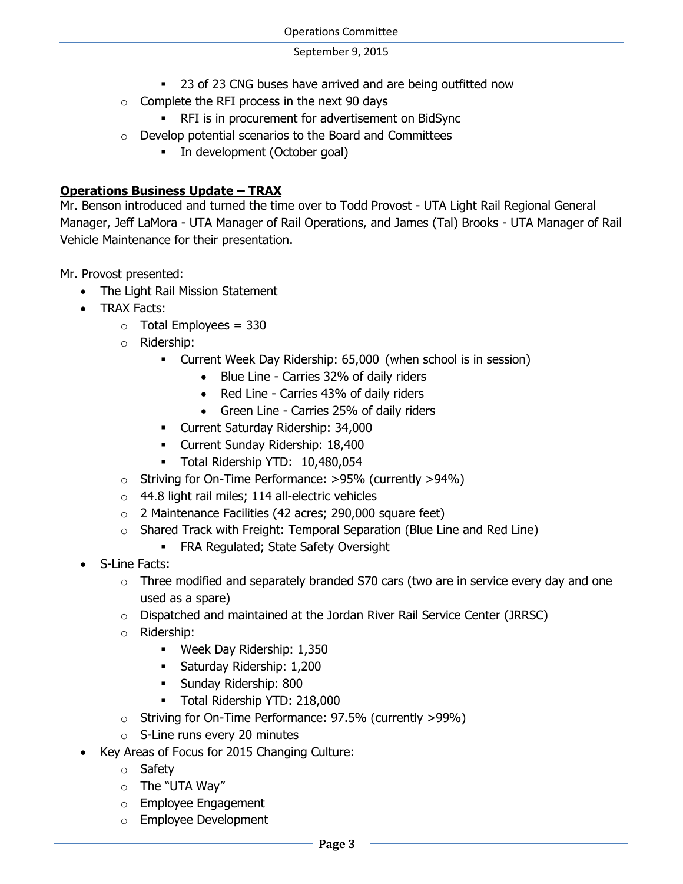- 23 of 23 CNG buses have arrived and are being outfitted now
- $\circ$  Complete the RFI process in the next 90 days
	- RFI is in procurement for advertisement on BidSync
- o Develop potential scenarios to the Board and Committees
	- In development (October goal)

## **Operations Business Update – TRAX**

Mr. Benson introduced and turned the time over to Todd Provost - UTA Light Rail Regional General Manager, Jeff LaMora - UTA Manager of Rail Operations, and James (Tal) Brooks - UTA Manager of Rail Vehicle Maintenance for their presentation.

Mr. Provost presented:

- The Light Rail Mission Statement
- TRAX Facts:
	- $\circ$  Total Employees = 330
	- o Ridership:
		- Current Week Day Ridership: 65,000 (when school is in session)
			- Blue Line Carries 32% of daily riders
			- Red Line Carries 43% of daily riders
			- Green Line Carries 25% of daily riders
		- Current Saturday Ridership: 34,000
		- Current Sunday Ridership: 18,400
		- Total Ridership YTD: 10,480,054
	- o Striving for On-Time Performance: >95% (currently >94%)
	- o 44.8 light rail miles; 114 all-electric vehicles
	- o 2 Maintenance Facilities (42 acres; 290,000 square feet)
	- $\circ$  Shared Track with Freight: Temporal Separation (Blue Line and Red Line)
		- **FRA Regulated; State Safety Oversight**
- S-Line Facts:
	- $\circ$  Three modified and separately branded S70 cars (two are in service every day and one used as a spare)
	- o Dispatched and maintained at the Jordan River Rail Service Center (JRRSC)
	- o Ridership:
		- Week Day Ridership: 1,350
		- **Saturday Ridership: 1,200**
		- **Sunday Ridership: 800**
		- Total Ridership YTD: 218,000
	- o Striving for On-Time Performance: 97.5% (currently >99%)
	- o S-Line runs every 20 minutes
- Key Areas of Focus for 2015 Changing Culture:
	- o Safety
	- o The "UTA Way"
	- o Employee Engagement
	- o Employee Development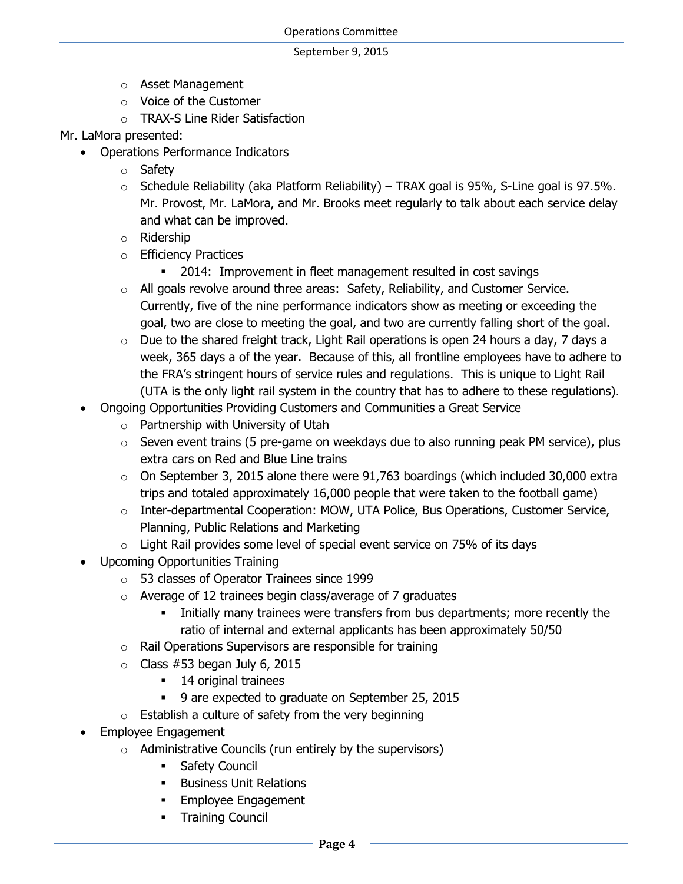- o Asset Management
- o Voice of the Customer
- o TRAX-S Line Rider Satisfaction
- Mr. LaMora presented:
	- Operations Performance Indicators
		- o Safety
		- $\circ$  Schedule Reliability (aka Platform Reliability) TRAX goal is 95%, S-Line goal is 97.5%. Mr. Provost, Mr. LaMora, and Mr. Brooks meet regularly to talk about each service delay and what can be improved.
		- o Ridership
		- o Efficiency Practices
			- 2014: Improvement in fleet management resulted in cost savings
		- o All goals revolve around three areas: Safety, Reliability, and Customer Service. Currently, five of the nine performance indicators show as meeting or exceeding the goal, two are close to meeting the goal, and two are currently falling short of the goal.
		- o Due to the shared freight track, Light Rail operations is open 24 hours a day, 7 days a week, 365 days a of the year. Because of this, all frontline employees have to adhere to the FRA's stringent hours of service rules and regulations. This is unique to Light Rail (UTA is the only light rail system in the country that has to adhere to these regulations).
	- Ongoing Opportunities Providing Customers and Communities a Great Service
		- o Partnership with University of Utah
		- $\circ$  Seven event trains (5 pre-game on weekdays due to also running peak PM service), plus extra cars on Red and Blue Line trains
		- $\circ$  On September 3, 2015 alone there were 91,763 boardings (which included 30,000 extra trips and totaled approximately 16,000 people that were taken to the football game)
		- $\circ$  Inter-departmental Cooperation: MOW, UTA Police, Bus Operations, Customer Service, Planning, Public Relations and Marketing
		- $\circ$  Light Rail provides some level of special event service on 75% of its days
	- Upcoming Opportunities Training
		- o 53 classes of Operator Trainees since 1999
		- $\circ$  Average of 12 trainees begin class/average of 7 graduates
			- Initially many trainees were transfers from bus departments; more recently the ratio of internal and external applicants has been approximately 50/50
		- $\circ$  Rail Operations Supervisors are responsible for training
		- $\circ$  Class #53 began July 6, 2015
			- **14 original trainees**
			- 9 are expected to graduate on September 25, 2015
		- $\circ$  Establish a culture of safety from the very beginning
	- Employee Engagement
		- $\circ$  Administrative Councils (run entirely by the supervisors)
			- **Safety Council**
			- **Business Unit Relations**
			- **Employee Engagement**
			- Training Council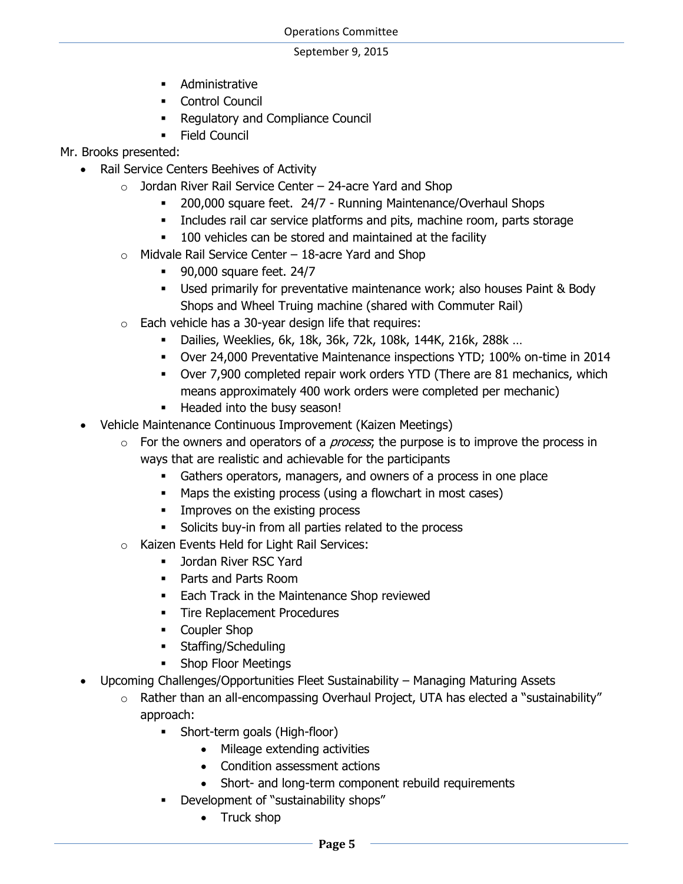- **-** Administrative
- **Control Council**
- Regulatory and Compliance Council
- **Field Council**
- Mr. Brooks presented:
	- Rail Service Centers Beehives of Activity
		- $\circ$  Jordan River Rail Service Center 24-acre Yard and Shop
			- 200,000 square feet. 24/7 Running Maintenance/Overhaul Shops
			- Includes rail car service platforms and pits, machine room, parts storage
			- **100** vehicles can be stored and maintained at the facility
		- $\circ$  Midvale Rail Service Center 18-acre Yard and Shop
			- **90,000 square feet. 24/7**
			- Used primarily for preventative maintenance work; also houses Paint & Body Shops and Wheel Truing machine (shared with Commuter Rail)
		- $\circ$  Each vehicle has a 30-year design life that requires:
			- Dailies, Weeklies, 6k, 18k, 36k, 72k, 108k, 144K, 216k, 288k …
			- Over 24,000 Preventative Maintenance inspections YTD; 100% on-time in 2014
			- Over 7,900 completed repair work orders YTD (There are 81 mechanics, which means approximately 400 work orders were completed per mechanic)
			- **Headed into the busy season!**
	- Vehicle Maintenance Continuous Improvement (Kaizen Meetings)
		- $\circ$  For the owners and operators of a *process*; the purpose is to improve the process in ways that are realistic and achievable for the participants
			- Gathers operators, managers, and owners of a process in one place
			- Maps the existing process (using a flowchart in most cases)
			- **IMPROVES ON the existing process**
			- Solicits buy-in from all parties related to the process
		- o Kaizen Events Held for Light Rail Services:
			- **Jordan River RSC Yard**
			- **Parts and Parts Room**
			- **Each Track in the Maintenance Shop reviewed**
			- **Tire Replacement Procedures**
			- Coupler Shop
			- **Staffing/Scheduling**
			- **Shop Floor Meetings**
	- Upcoming Challenges/Opportunities Fleet Sustainability Managing Maturing Assets
		- o Rather than an all-encompassing Overhaul Project, UTA has elected a "sustainability" approach:
			- Short-term goals (High-floor)
				- Mileage extending activities
				- Condition assessment actions
				- Short- and long-term component rebuild requirements
			- Development of "sustainability shops"
				- Truck shop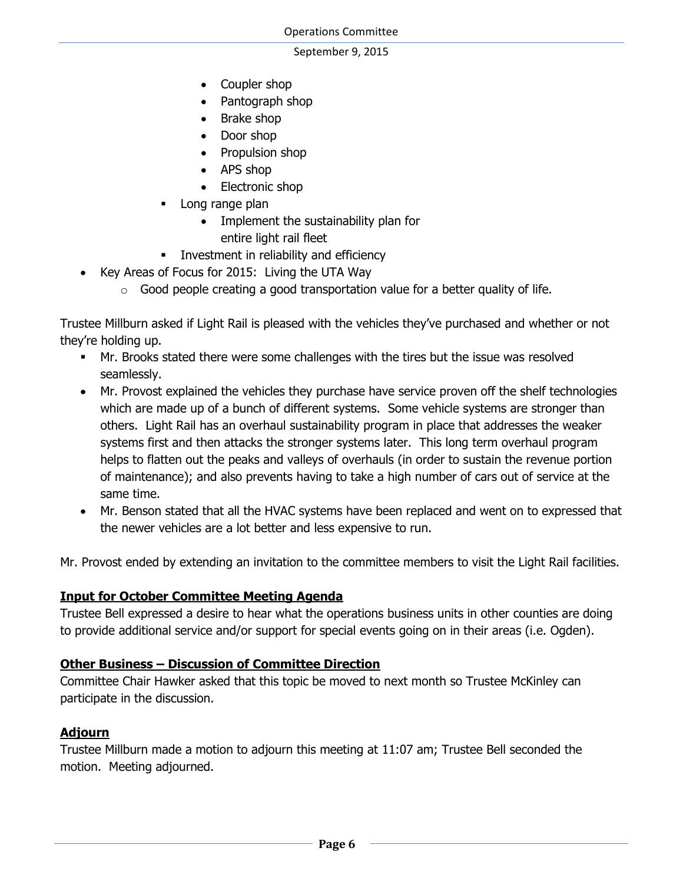- Coupler shop
- Pantograph shop
- Brake shop
- Door shop
- Propulsion shop
- APS shop
- Electronic shop
- **Long range plan** 
	- Implement the sustainability plan for
		- entire light rail fleet
- **Investment in reliability and efficiency**
- Key Areas of Focus for 2015: Living the UTA Way
	- $\circ$  Good people creating a good transportation value for a better quality of life.

Trustee Millburn asked if Light Rail is pleased with the vehicles they've purchased and whether or not they're holding up.

- Mr. Brooks stated there were some challenges with the tires but the issue was resolved seamlessly.
- Mr. Provost explained the vehicles they purchase have service proven off the shelf technologies which are made up of a bunch of different systems. Some vehicle systems are stronger than others. Light Rail has an overhaul sustainability program in place that addresses the weaker systems first and then attacks the stronger systems later. This long term overhaul program helps to flatten out the peaks and valleys of overhauls (in order to sustain the revenue portion of maintenance); and also prevents having to take a high number of cars out of service at the same time.
- Mr. Benson stated that all the HVAC systems have been replaced and went on to expressed that the newer vehicles are a lot better and less expensive to run.

Mr. Provost ended by extending an invitation to the committee members to visit the Light Rail facilities.

# **Input for October Committee Meeting Agenda**

Trustee Bell expressed a desire to hear what the operations business units in other counties are doing to provide additional service and/or support for special events going on in their areas (i.e. Ogden).

## **Other Business – Discussion of Committee Direction**

Committee Chair Hawker asked that this topic be moved to next month so Trustee McKinley can participate in the discussion.

## **Adjourn**

Trustee Millburn made a motion to adjourn this meeting at 11:07 am; Trustee Bell seconded the motion. Meeting adjourned.